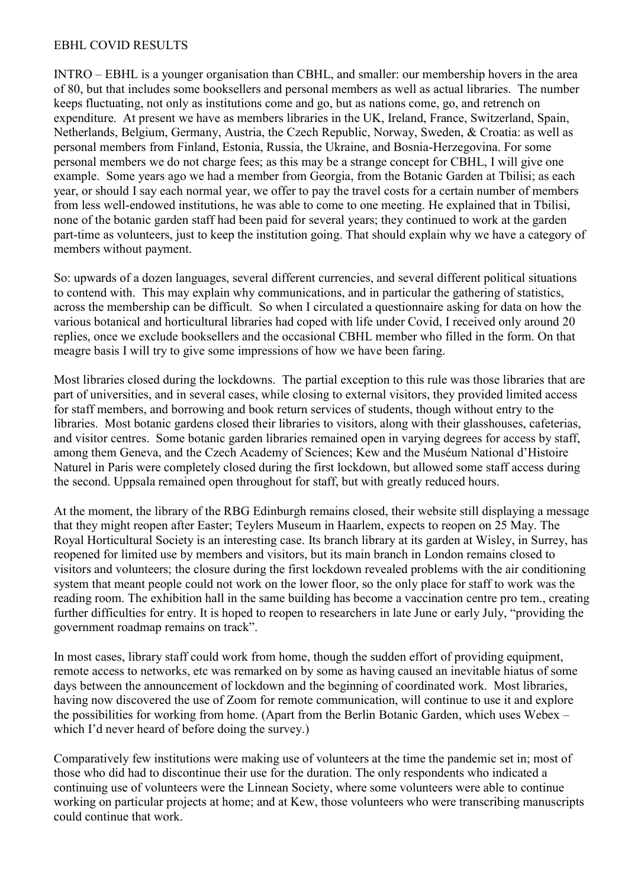## EBHL COVID RESULTS

INTRO – EBHL is a younger organisation than CBHL, and smaller: our membership hovers in the area of 80, but that includes some booksellers and personal members as well as actual libraries. The number keeps fluctuating, not only as institutions come and go, but as nations come, go, and retrench on expenditure. At present we have as members libraries in the UK, Ireland, France, Switzerland, Spain, Netherlands, Belgium, Germany, Austria, the Czech Republic, Norway, Sweden, & Croatia: as well as personal members from Finland, Estonia, Russia, the Ukraine, and Bosnia-Herzegovina. For some personal members we do not charge fees; as this may be a strange concept for CBHL, I will give one example. Some years ago we had a member from Georgia, from the Botanic Garden at Tbilisi; as each year, or should I say each normal year, we offer to pay the travel costs for a certain number of members from less well-endowed institutions, he was able to come to one meeting. He explained that in Tbilisi, none of the botanic garden staff had been paid for several years; they continued to work at the garden part-time as volunteers, just to keep the institution going. That should explain why we have a category of members without payment.

So: upwards of a dozen languages, several different currencies, and several different political situations to contend with. This may explain why communications, and in particular the gathering of statistics, across the membership can be difficult. So when I circulated a questionnaire asking for data on how the various botanical and horticultural libraries had coped with life under Covid, I received only around 20 replies, once we exclude booksellers and the occasional CBHL member who filled in the form. On that meagre basis I will try to give some impressions of how we have been faring.

Most libraries closed during the lockdowns. The partial exception to this rule was those libraries that are part of universities, and in several cases, while closing to external visitors, they provided limited access for staff members, and borrowing and book return services of students, though without entry to the libraries. Most botanic gardens closed their libraries to visitors, along with their glasshouses, cafeterias, and visitor centres. Some botanic garden libraries remained open in varying degrees for access by staff, among them Geneva, and the Czech Academy of Sciences; Kew and the Muséum National d'Histoire Naturel in Paris were completely closed during the first lockdown, but allowed some staff access during the second. Uppsala remained open throughout for staff, but with greatly reduced hours.

At the moment, the library of the RBG Edinburgh remains closed, their website still displaying a message that they might reopen after Easter; Teylers Museum in Haarlem, expects to reopen on 25 May. The Royal Horticultural Society is an interesting case. Its branch library at its garden at Wisley, in Surrey, has reopened for limited use by members and visitors, but its main branch in London remains closed to visitors and volunteers; the closure during the first lockdown revealed problems with the air conditioning system that meant people could not work on the lower floor, so the only place for staff to work was the reading room. The exhibition hall in the same building has become a vaccination centre pro tem., creating further difficulties for entry. It is hoped to reopen to researchers in late June or early July, "providing the government roadmap remains on track".

In most cases, library staff could work from home, though the sudden effort of providing equipment, remote access to networks, etc was remarked on by some as having caused an inevitable hiatus of some days between the announcement of lockdown and the beginning of coordinated work. Most libraries, having now discovered the use of Zoom for remote communication, will continue to use it and explore the possibilities for working from home. (Apart from the Berlin Botanic Garden, which uses Webex – which I'd never heard of before doing the survey.)

Comparatively few institutions were making use of volunteers at the time the pandemic set in; most of those who did had to discontinue their use for the duration. The only respondents who indicated a continuing use of volunteers were the Linnean Society, where some volunteers were able to continue working on particular projects at home; and at Kew, those volunteers who were transcribing manuscripts could continue that work.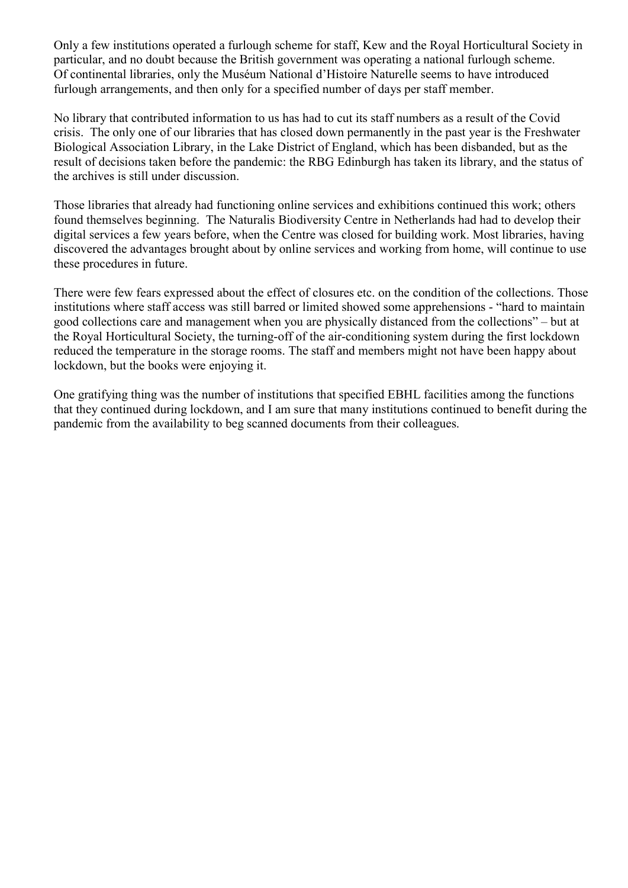Only a few institutions operated a furlough scheme for staff, Kew and the Royal Horticultural Society in particular, and no doubt because the British government was operating a national furlough scheme. Of continental libraries, only the Muséum National d'Histoire Naturelle seems to have introduced furlough arrangements, and then only for a specified number of days per staff member.

No library that contributed information to us has had to cut its staff numbers as a result of the Covid crisis. The only one of our libraries that has closed down permanently in the past year is the Freshwater Biological Association Library, in the Lake District of England, which has been disbanded, but as the result of decisions taken before the pandemic: the RBG Edinburgh has taken its library, and the status of the archives is still under discussion.

Those libraries that already had functioning online services and exhibitions continued this work; others found themselves beginning. The Naturalis Biodiversity Centre in Netherlands had had to develop their digital services a few years before, when the Centre was closed for building work. Most libraries, having discovered the advantages brought about by online services and working from home, will continue to use these procedures in future.

There were few fears expressed about the effect of closures etc. on the condition of the collections. Those institutions where staff access was still barred or limited showed some apprehensions - "hard to maintain good collections care and management when you are physically distanced from the collections" – but at the Royal Horticultural Society, the turning-off of the air-conditioning system during the first lockdown reduced the temperature in the storage rooms. The staff and members might not have been happy about lockdown, but the books were enjoying it.

One gratifying thing was the number of institutions that specified EBHL facilities among the functions that they continued during lockdown, and I am sure that many institutions continued to benefit during the pandemic from the availability to beg scanned documents from their colleagues.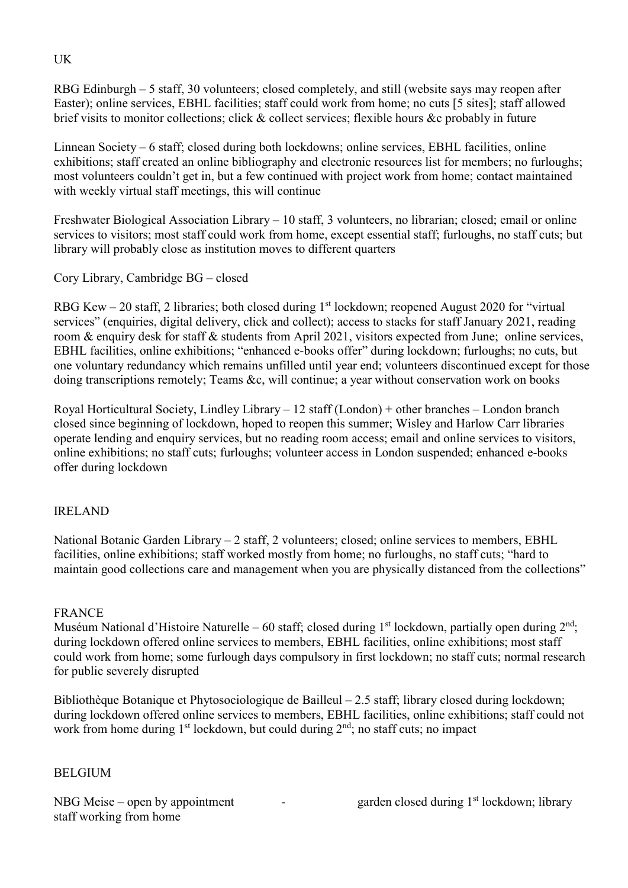RBG Edinburgh – 5 staff, 30 volunteers; closed completely, and still (website says may reopen after Easter); online services, EBHL facilities; staff could work from home; no cuts [5 sites]; staff allowed brief visits to monitor collections; click & collect services; flexible hours &c probably in future

Linnean Society – 6 staff; closed during both lockdowns; online services, EBHL facilities, online exhibitions; staff created an online bibliography and electronic resources list for members; no furloughs; most volunteers couldn't get in, but a few continued with project work from home; contact maintained with weekly virtual staff meetings, this will continue

Freshwater Biological Association Library – 10 staff, 3 volunteers, no librarian; closed; email or online services to visitors; most staff could work from home, except essential staff; furloughs, no staff cuts; but library will probably close as institution moves to different quarters

Cory Library, Cambridge BG – closed

RBG Kew  $-$  20 staff, 2 libraries; both closed during 1<sup>st</sup> lockdown; reopened August 2020 for "virtual services" (enquiries, digital delivery, click and collect); access to stacks for staff January 2021, reading room & enquiry desk for staff & students from April 2021, visitors expected from June; online services, EBHL facilities, online exhibitions; "enhanced e-books offer" during lockdown; furloughs; no cuts, but one voluntary redundancy which remains unfilled until year end; volunteers discontinued except for those doing transcriptions remotely; Teams &c, will continue; a year without conservation work on books

Royal Horticultural Society, Lindley Library – 12 staff (London) + other branches – London branch closed since beginning of lockdown, hoped to reopen this summer; Wisley and Harlow Carr libraries operate lending and enquiry services, but no reading room access; email and online services to visitors, online exhibitions; no staff cuts; furloughs; volunteer access in London suspended; enhanced e-books offer during lockdown

# IRELAND

National Botanic Garden Library – 2 staff, 2 volunteers; closed; online services to members, EBHL facilities, online exhibitions; staff worked mostly from home; no furloughs, no staff cuts; "hard to maintain good collections care and management when you are physically distanced from the collections"

# FRANCE

Muséum National d'Histoire Naturelle – 60 staff; closed during  $1<sup>st</sup>$  lockdown, partially open during  $2<sup>nd</sup>$ ; during lockdown offered online services to members, EBHL facilities, online exhibitions; most staff could work from home; some furlough days compulsory in first lockdown; no staff cuts; normal research for public severely disrupted

Bibliothèque Botanique et Phytosociologique de Bailleul – 2.5 staff; library closed during lockdown; during lockdown offered online services to members, EBHL facilities, online exhibitions; staff could not work from home during 1<sup>st</sup> lockdown, but could during 2<sup>nd</sup>; no staff cuts; no impact

#### **BELGIUM**

staff working from home

NBG Meise – open by appointment  $\qquad \qquad -$  garden closed during  $1<sup>st</sup>$  lockdown; library

# UK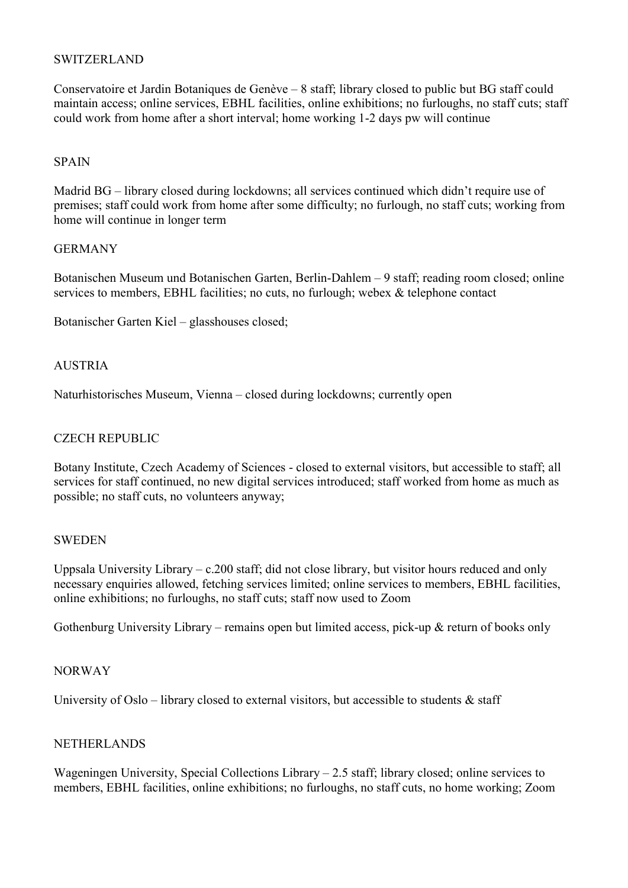## SWITZERLAND

Conservatoire et Jardin Botaniques de Genève – 8 staff; library closed to public but BG staff could maintain access; online services, EBHL facilities, online exhibitions; no furloughs, no staff cuts; staff could work from home after a short interval; home working 1-2 days pw will continue

### SPAIN

Madrid BG – library closed during lockdowns; all services continued which didn't require use of premises; staff could work from home after some difficulty; no furlough, no staff cuts; working from home will continue in longer term

#### GERMANY

Botanischen Museum und Botanischen Garten, Berlin-Dahlem – 9 staff; reading room closed; online services to members, EBHL facilities; no cuts, no furlough; webex & telephone contact

Botanischer Garten Kiel – glasshouses closed;

## **AUSTRIA**

Naturhistorisches Museum, Vienna – closed during lockdowns; currently open

## CZECH REPUBLIC

Botany Institute, Czech Academy of Sciences - closed to external visitors, but accessible to staff; all services for staff continued, no new digital services introduced; staff worked from home as much as possible; no staff cuts, no volunteers anyway;

#### **SWEDEN**

Uppsala University Library – c.200 staff; did not close library, but visitor hours reduced and only necessary enquiries allowed, fetching services limited; online services to members, EBHL facilities, online exhibitions; no furloughs, no staff cuts; staff now used to Zoom

Gothenburg University Library – remains open but limited access, pick-up & return of books only

#### NORWAY

University of Oslo – library closed to external visitors, but accessible to students  $\&$  staff

#### NETHERLANDS

Wageningen University, Special Collections Library – 2.5 staff; library closed; online services to members, EBHL facilities, online exhibitions; no furloughs, no staff cuts, no home working; Zoom